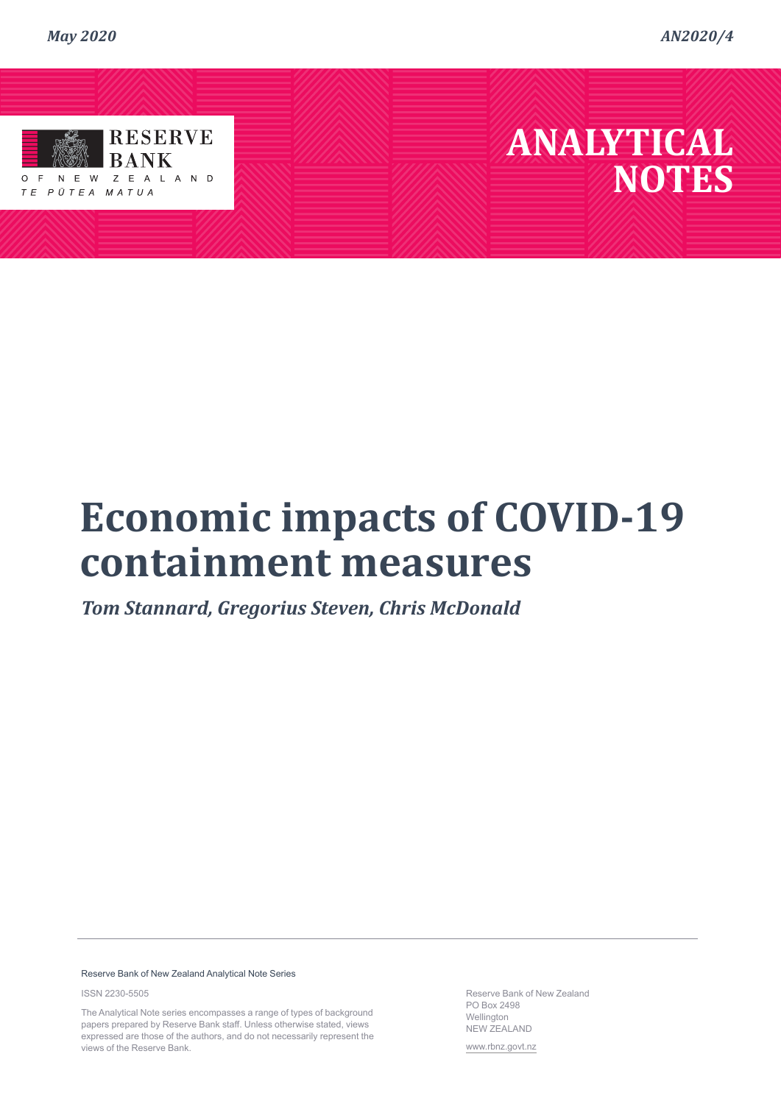*AN2020/4*



TE PŪTEA MATUA

## **ANALYTICAL NOTES**

# **Economic impacts of COVID-19 containment measures**

*Tom Stannard, Gregorius Steven, Chris McDonald*

#### Reserve Bank of New Zealand Analytical Note Series

ISSN 2230-550[5](https://www.rbnz.govt.nz/)

The Analytical Note series encompasses a range of types of background papers prepared by Reserve Bank staff. Unless otherwise stated, views expressed are those of the authors, and do not necessarily represent the views of the Reserve Bank.

Reserve Bank of New Zealand PO Box 2498 Wellington NEW ZEALAND

www.rbnz.govt.nz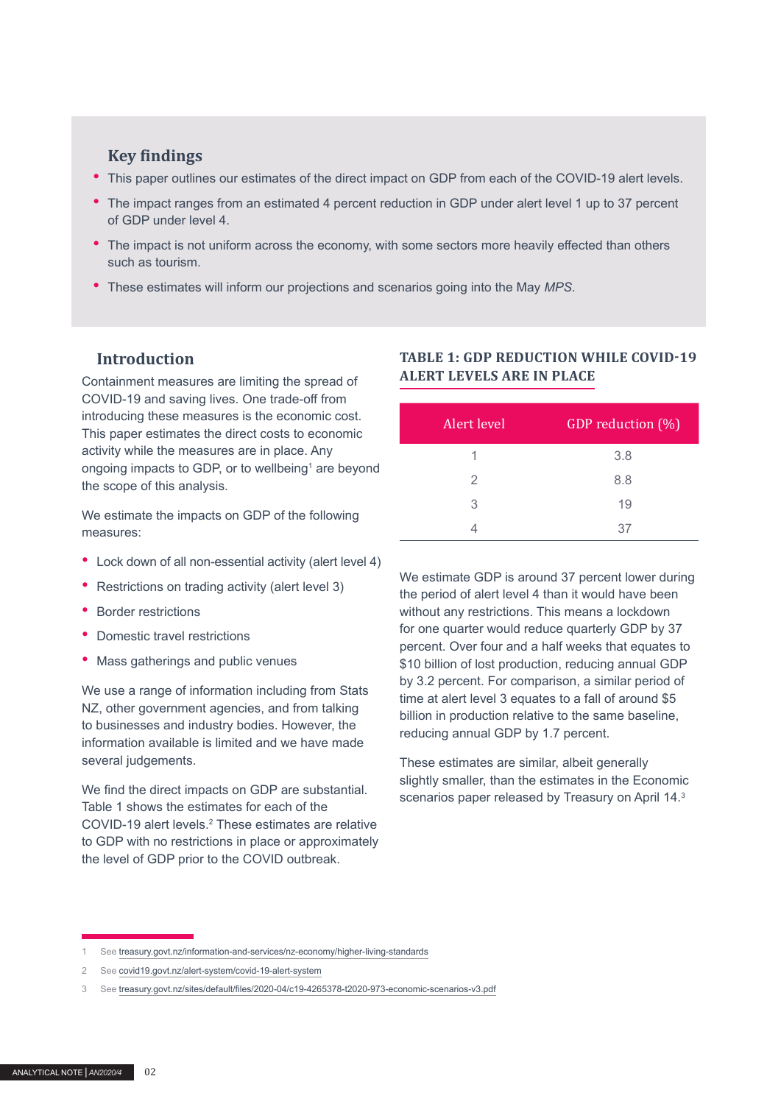#### **Key findings**

- This paper outlines our estimates of the direct impact on GDP from each of the COVID-19 alert levels.
- The impact ranges from an estimated 4 percent reduction in GDP under alert level 1 up to 37 percent of GDP under level 4.
- The impact is not uniform across the economy, with some sectors more heavily effected than others such as tourism.
- These estimates will inform our projections and scenarios going into the May *MPS*.

#### **Introduction**

Containment measures are limiting the spread of COVID-19 and saving lives. One trade-off from introducing these measures is the economic cost. This paper estimates the direct costs to economic activity while the measures are in place. Any ongoing impacts to GDP, or to wellbeing<sup>1</sup> are beyond the scope of this analysis.

We estimate the impacts on GDP of the following measures:

- Lock down of all non-essential activity (alert level 4)
- Restrictions on trading activity (alert level 3)
- Border restrictions
- Domestic travel restrictions
- Mass gatherings and public venues

We use a range of information including from Stats NZ, other government agencies, and from talking to businesses and industry bodies. However, the information available is limited and we have made several judgements.

We find the direct impacts on GDP are substantial. Table 1 shows the estimates for each of the COVID-19 alert levels.<sup>2</sup> These estimates are relative to GDP with no restrictions in place or approximately the level of GDP prior to the COVID outbreak.

#### **TABLE 1: GDP REDUCTION WHILE COVID-19 ALERT LEVELS ARE IN PLACE**

| Alert level | GDP reduction (%) |
|-------------|-------------------|
|             | 3.8               |
| 2           | 8.8               |
| 3           | 19                |
|             | 37                |

We estimate GDP is around 37 percent lower during the period of alert level 4 than it would have been without any restrictions. This means a lockdown for one quarter would reduce quarterly GDP by 37 percent. Over four and a half weeks that equates to \$10 billion of lost production, reducing annual GDP by 3.2 percent. For comparison, a similar period of time at alert level 3 equates to a fall of around \$5 billion in production relative to the same baseline, reducing annual GDP by 1.7 percent.

These estimates are similar, albeit generally slightly smaller, than the estimates in the Economic scenarios paper released by Treasury on April 14.<sup>3</sup>

<sup>1</sup> See [treasury.govt.nz/information-and-services/nz-economy/higher-living-standards](https://treasury.govt.nz/information-and-services/nz-economy/higher-living-standards)

<sup>2</sup> See [covid19.govt.nz/alert-system/covid-19-alert-system](https://covid19.govt.nz/alert-system/covid-19-alert-system)

<sup>3</sup> See [treasury.govt.nz/sites/default/files/2020-04/c19-4265378-t2020-973-economic-scenarios-v3.pdf](https://treasury.govt.nz/sites/default/files/2020-04/c19-4265378-t2020-973-economic-scenarios-v3.pdf)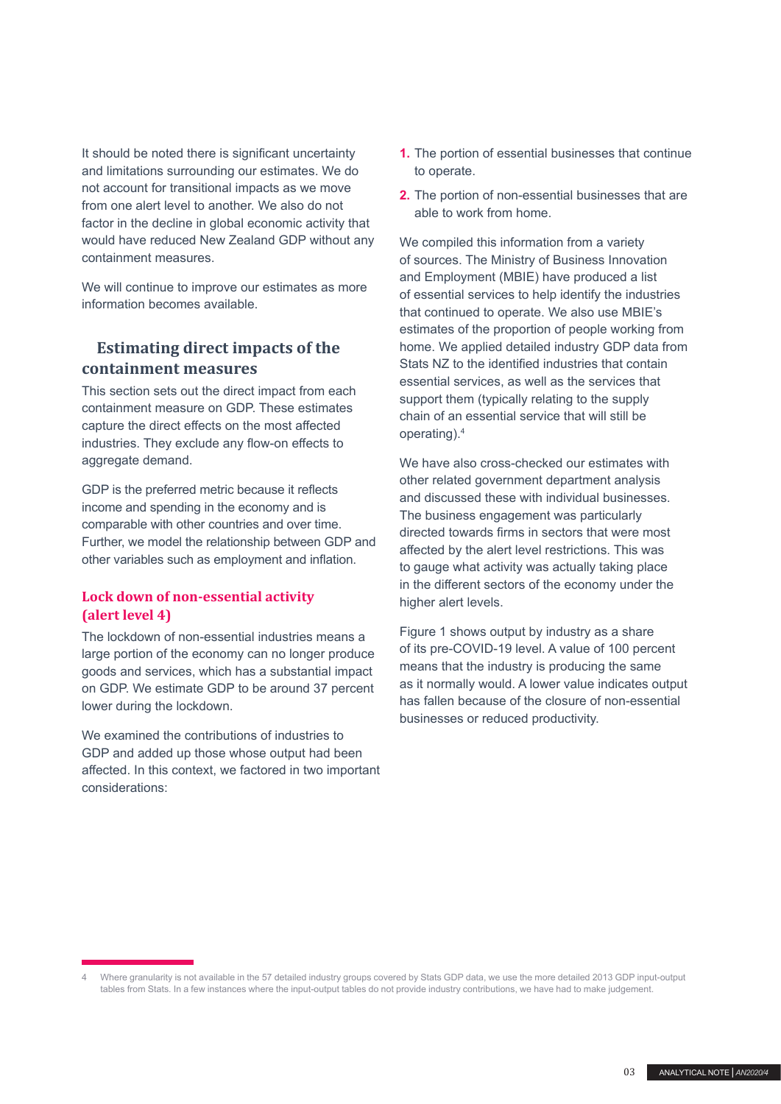It should be noted there is significant uncertainty and limitations surrounding our estimates. We do not account for transitional impacts as we move from one alert level to another. We also do not factor in the decline in global economic activity that would have reduced New Zealand GDP without any containment measures.

We will continue to improve our estimates as more information becomes available.

## **Estimating direct impacts of the containment measures**

This section sets out the direct impact from each containment measure on GDP. These estimates capture the direct effects on the most affected industries. They exclude any flow-on effects to aggregate demand.

GDP is the preferred metric because it reflects income and spending in the economy and is comparable with other countries and over time. Further, we model the relationship between GDP and other variables such as employment and inflation.

#### **Lock down of non-essential activity (alert level 4)**

The lockdown of non-essential industries means a large portion of the economy can no longer produce goods and services, which has a substantial impact on GDP. We estimate GDP to be around 37 percent lower during the lockdown.

We examined the contributions of industries to GDP and added up those whose output had been affected. In this context, we factored in two important considerations:

- **1.** The portion of essential businesses that continue to operate.
- **2.** The portion of non-essential businesses that are able to work from home.

We compiled this information from a variety of sources. The Ministry of Business Innovation and Employment (MBIE) have produced a list of essential services to help identify the industries that continued to operate. We also use MBIE's estimates of the proportion of people working from home. We applied detailed industry GDP data from Stats NZ to the identified industries that contain essential services, as well as the services that support them (typically relating to the supply chain of an essential service that will still be operating).<sup>4</sup>

We have also cross-checked our estimates with other related government department analysis and discussed these with individual businesses. The business engagement was particularly directed towards firms in sectors that were most affected by the alert level restrictions. This was to gauge what activity was actually taking place in the different sectors of the economy under the higher alert levels.

Figure 1 shows output by industry as a share of its pre-COVID-19 level. A value of 100 percent means that the industry is producing the same as it normally would. A lower value indicates output has fallen because of the closure of non-essential businesses or reduced productivity.

<sup>4</sup> Where granularity is not available in the 57 detailed industry groups covered by Stats GDP data, we use the more detailed 2013 GDP input-output tables from Stats. In a few instances where the input-output tables do not provide industry contributions, we have had to make judgement.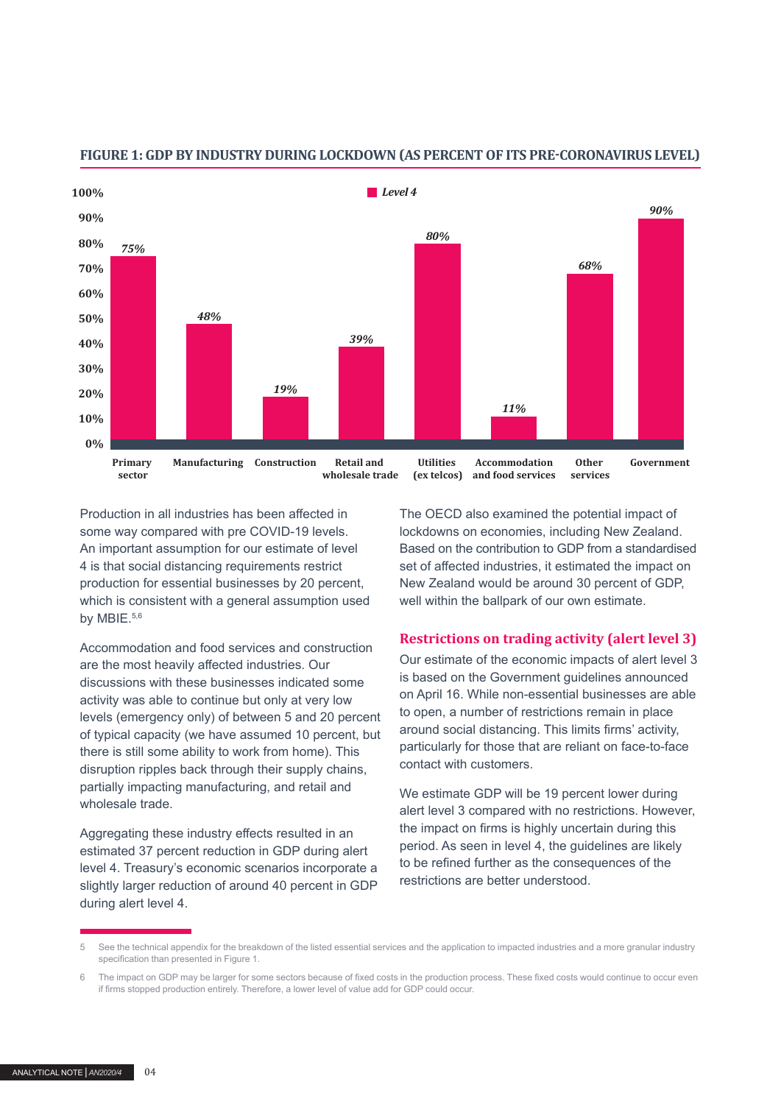

#### **FIGURE 1: GDP BY INDUSTRY DURING LOCKDOWN (AS PERCENT OF ITS PRE-CORONAVIRUS LEVEL)**

Production in all industries has been affected in some way compared with pre COVID-19 levels. An important assumption for our estimate of level 4 is that social distancing requirements restrict production for essential businesses by 20 percent, which is consistent with a general assumption used by MBIE.<sup>5,6</sup>

Accommodation and food services and construction are the most heavily affected industries. Our discussions with these businesses indicated some activity was able to continue but only at very low levels (emergency only) of between 5 and 20 percent of typical capacity (we have assumed 10 percent, but there is still some ability to work from home). This disruption ripples back through their supply chains, partially impacting manufacturing, and retail and wholesale trade.

Aggregating these industry effects resulted in an estimated 37 percent reduction in GDP during alert level 4. Treasury's economic scenarios incorporate a slightly larger reduction of around 40 percent in GDP during alert level 4.

The OECD also examined the potential impact of lockdowns on economies, including New Zealand. Based on the contribution to GDP from a standardised set of affected industries, it estimated the impact on New Zealand would be around 30 percent of GDP, well within the ballpark of our own estimate.

#### **Restrictions on trading activity (alert level 3)**

Our estimate of the economic impacts of alert level 3 is based on the Government guidelines announced on April 16. While non-essential businesses are able to open, a number of restrictions remain in place around social distancing. This limits firms' activity, particularly for those that are reliant on face-to-face contact with customers.

We estimate GDP will be 19 percent lower during alert level 3 compared with no restrictions. However, the impact on firms is highly uncertain during this period. As seen in level 4, the guidelines are likely to be refined further as the consequences of the restrictions are better understood.

<sup>5</sup> See the technical appendix for the breakdown of the listed essential services and the application to impacted industries and a more granular industry specification than presented in Figure 1.

<sup>6</sup> The impact on GDP may be larger for some sectors because of fixed costs in the production process. These fixed costs would continue to occur even if firms stopped production entirely. Therefore, a lower level of value add for GDP could occur.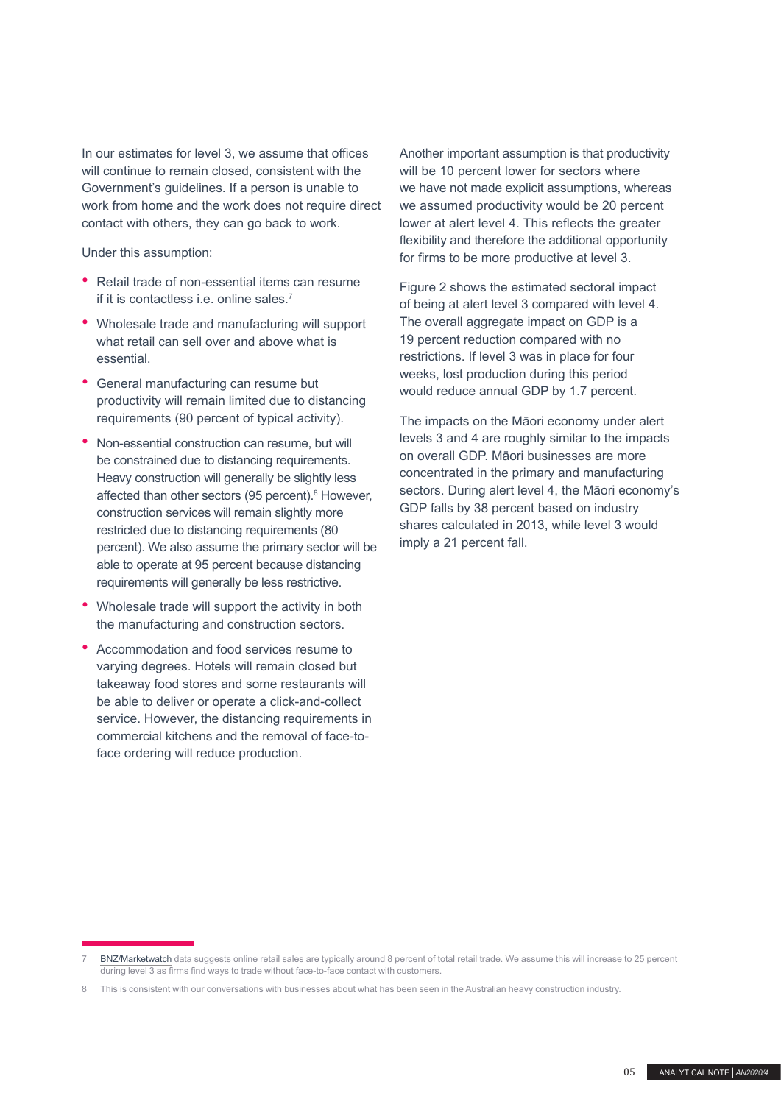In our estimates for level 3, we assume that offices will continue to remain closed, consistent with the Government's guidelines. If a person is unable to work from home and the work does not require direct contact with others, they can go back to work.

Under this assumption:

- Retail trade of non-essential items can resume if it is contactless i.e. online sales.<sup>7</sup>
- Wholesale trade and manufacturing will support what retail can sell over and above what is essential.
- General manufacturing can resume but productivity will remain limited due to distancing requirements (90 percent of typical activity).
- Non-essential construction can resume, but will be constrained due to distancing requirements. Heavy construction will generally be slightly less affected than other sectors (95 percent).<sup>8</sup> However, construction services will remain slightly more restricted due to distancing requirements (80 percent). We also assume the primary sector will be able to operate at 95 percent because distancing requirements will generally be less restrictive.
- Wholesale trade will support the activity in both the manufacturing and construction sectors.
- Accommodation and food services resume to varying degrees. Hotels will remain closed but takeaway food stores and some restaurants will be able to deliver or operate a click-and-collect service. However, the distancing requirements in commercial kitchens and the removal of face-toface ordering will reduce production.

Another important assumption is that productivity will be 10 percent lower for sectors where we have not made explicit assumptions, whereas we assumed productivity would be 20 percent lower at alert level 4. This reflects the greater flexibility and therefore the additional opportunity for firms to be more productive at level 3.

Figure 2 shows the estimated sectoral impact of being at alert level 3 compared with level 4. The overall aggregate impact on GDP is a 19 percent reduction compared with no restrictions. If level 3 was in place for four weeks, lost production during this period would reduce annual GDP by 1.7 percent.

The impacts on the Māori economy under alert levels 3 and 4 are roughly similar to the impacts on overall GDP. Māori businesses are more concentrated in the primary and manufacturing sectors. During alert level 4, the Māori economy's GDP falls by 38 percent based on industry shares calculated in 2013, while level 3 would imply a 21 percent fall.

[BNZ/Marketwatch](https://www.bnz.co.nz/assets/business-banking-help-support/online-retail-sales-index/pdfs/NZ-Online-Retail-Sales-in-Jan-2020-20200227-Final.pdf?38b850ad1c5d904d339c68c11e0fba50db6029f4) data suggests online retail sales are typically around 8 percent of total retail trade. We assume this will increase to 25 percent during level 3 as firms find ways to trade without face-to-face contact with customers.

<sup>8</sup> This is consistent with our conversations with businesses about what has been seen in the Australian heavy construction industry.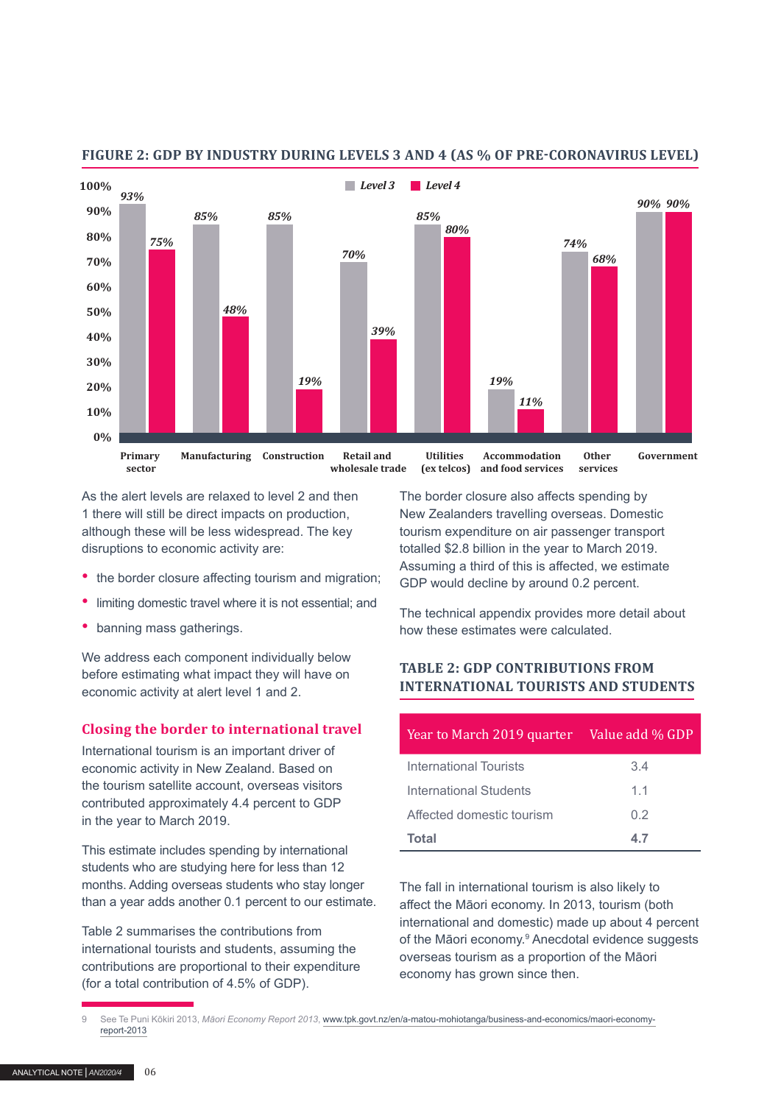

#### **FIGURE 2: GDP BY INDUSTRY DURING LEVELS 3 AND 4 (AS % OF PRE-CORONAVIRUS LEVEL)**

As the alert levels are relaxed to level 2 and then 1 there will still be direct impacts on production, although these will be less widespread. The key disruptions to economic activity are:

- the border closure affecting tourism and migration;
- limiting domestic travel where it is not essential; and
- banning mass gatherings.

We address each component individually below before estimating what impact they will have on economic activity at alert level 1 and 2.

#### **Closing the border to international travel**

International tourism is an important driver of economic activity in New Zealand. Based on the tourism satellite account, overseas visitors contributed approximately 4.4 percent to GDP in the year to March 2019.

This estimate includes spending by international students who are studying here for less than 12 months. Adding overseas students who stay longer than a year adds another 0.1 percent to our estimate.

Table 2 summarises the contributions from international tourists and students, assuming the contributions are proportional to their expenditure (for a total contribution of 4.5% of GDP).

The border closure also affects spending by New Zealanders travelling overseas. Domestic tourism expenditure on air passenger transport totalled \$2.8 billion in the year to March 2019. Assuming a third of this is affected, we estimate GDP would decline by around 0.2 percent.

The technical appendix provides more detail about how these estimates were calculated.

#### **TABLE 2: GDP CONTRIBUTIONS FROM INTERNATIONAL TOURISTS AND STUDENTS**

| Year to March 2019 quarter | Value add % GDP |
|----------------------------|-----------------|
| International Tourists     | 3.4             |
| International Students     | 11              |
| Affected domestic tourism  | 02              |
| Total                      | 47              |

The fall in international tourism is also likely to affect the Māori economy. In 2013, tourism (both international and domestic) made up about 4 percent of the Māori economy.<sup>9</sup> Anecdotal evidence suggests overseas tourism as a proportion of the Māori economy has grown since then.

<sup>9</sup> See Te Puni Kōkiri 2013, *Māori Economy Report 2013*, [www.tpk.govt.nz/en/a-matou-mohiotanga/business-and-economics/maori-economy](https://www.tpk.govt.nz/en/a-matou-mohiotanga/business-and-economics/maori-economy-report-2013)[report-2013](https://www.tpk.govt.nz/en/a-matou-mohiotanga/business-and-economics/maori-economy-report-2013)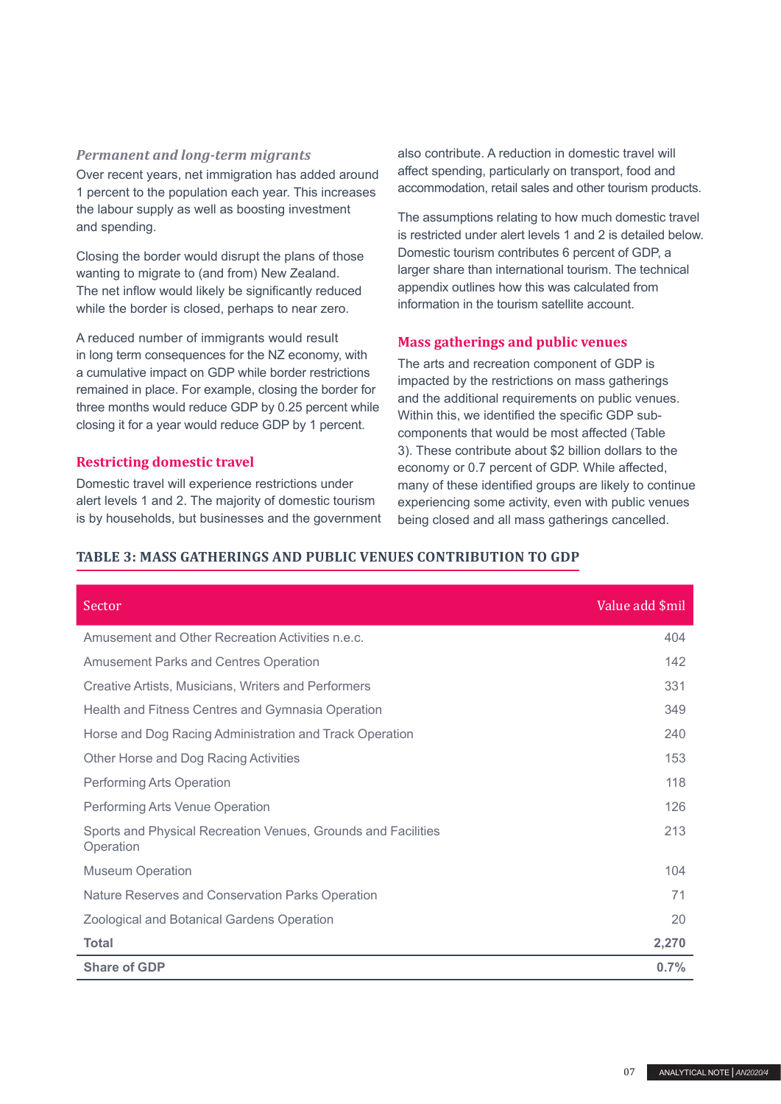#### *Permanent and long-term migrants*

Over recent years, net immigration has added around 1 percent to the population each year. This increases the labour supply as well as boosting investment and spending.

Closing the border would disrupt the plans of those wanting to migrate to (and from) New Zealand. The net inflow would likely be significantly reduced while the border is closed, perhaps to near zero.

A reduced number of immigrants would result in long term consequences for the NZ economy, with a cumulative impact on GDP while border restrictions remained in place. For example, closing the border for three months would reduce GDP by 0.25 percent while closing it for a year would reduce GDP by 1 percent.

#### **Restricting domestic travel**

Domestic travel will experience restrictions under alert levels 1 and 2. The majority of domestic tourism is by households, but businesses and the government also contribute. A reduction in domestic travel will affect spending, particularly on transport, food and accommodation, retail sales and other tourism products.

The assumptions relating to how much domestic travel is restricted under alert levels 1 and 2 is detailed below. Domestic tourism contributes 6 percent of GDP, a larger share than international tourism. The technical appendix outlines how this was calculated from information in the tourism satellite account.

#### **Mass gatherings and public venues**

The arts and recreation component of GDP is impacted by the restrictions on mass gatherings and the additional requirements on public venues. Within this, we identified the specific GDP subcomponents that would be most affected (Table 3). These contribute about \$2 billion dollars to the economy or 0.7 percent of GDP. While affected, many of these identified groups are likely to continue experiencing some activity, even with public venues being closed and all mass gatherings cancelled.

#### **TABLE 3: MASS GATHERINGS AND PUBLIC VENUES CONTRIBUTION TO GDP**

| Sector                                                                     | Value add \$mil |
|----------------------------------------------------------------------------|-----------------|
| Amusement and Other Recreation Activities n.e.c.                           | 404             |
| <b>Amusement Parks and Centres Operation</b>                               | 142             |
| Creative Artists, Musicians, Writers and Performers                        | 331             |
| Health and Fitness Centres and Gymnasia Operation                          | 349             |
| Horse and Dog Racing Administration and Track Operation                    | 240             |
| Other Horse and Dog Racing Activities                                      | 153             |
| Performing Arts Operation                                                  | 118             |
| Performing Arts Venue Operation                                            | 126             |
| Sports and Physical Recreation Venues, Grounds and Facilities<br>Operation | 213             |
| <b>Museum Operation</b>                                                    | 104             |
| Nature Reserves and Conservation Parks Operation                           | 71              |
| <b>Zoological and Botanical Gardens Operation</b>                          | 20              |
| <b>Total</b>                                                               | 2,270           |
| <b>Share of GDP</b>                                                        | 0.7%            |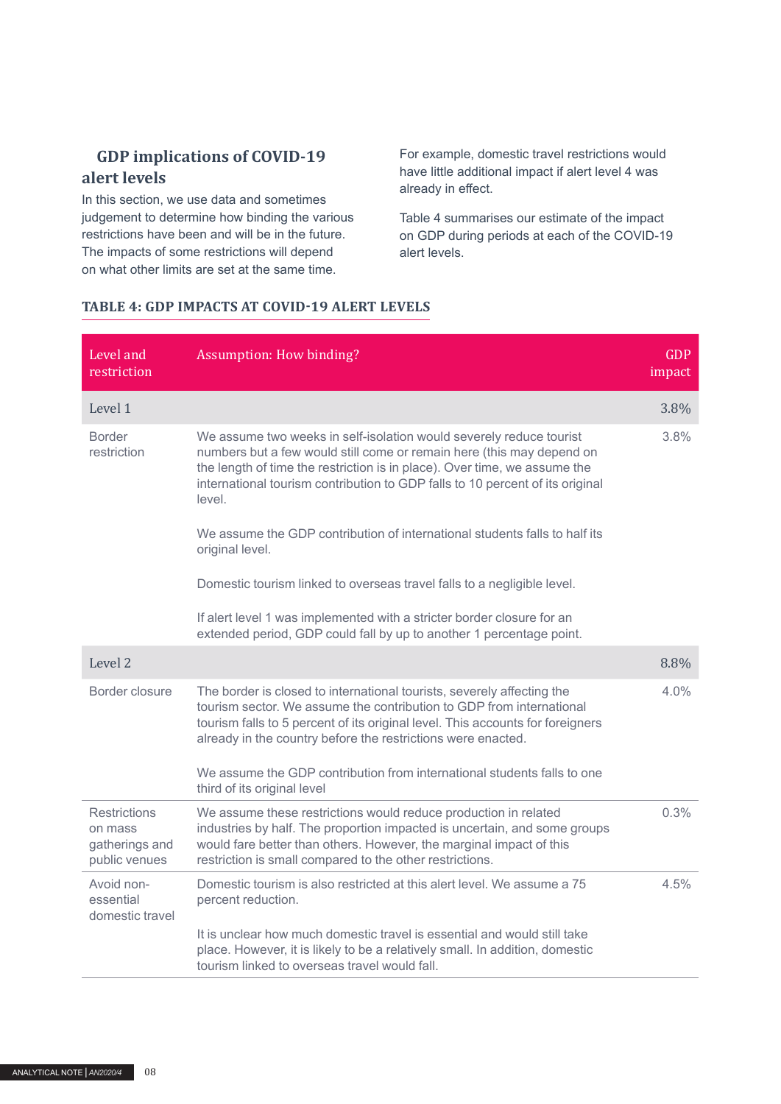## **GDP implications of COVID-19 alert levels**

In this section, we use data and sometimes judgement to determine how binding the various restrictions have been and will be in the future. The impacts of some restrictions will depend on what other limits are set at the same time.

For example, domestic travel restrictions would have little additional impact if alert level 4 was already in effect.

Table 4 summarises our estimate of the impact on GDP during periods at each of the COVID-19 alert levels.

#### **TABLE 4: GDP IMPACTS AT COVID-19 ALERT LEVELS**

| Level and<br>restriction                                          | <b>Assumption: How binding?</b>                                                                                                                                                                                                                                                                                      | <b>GDP</b><br>impact |
|-------------------------------------------------------------------|----------------------------------------------------------------------------------------------------------------------------------------------------------------------------------------------------------------------------------------------------------------------------------------------------------------------|----------------------|
| Level 1                                                           |                                                                                                                                                                                                                                                                                                                      | 3.8%                 |
| <b>Border</b><br>restriction                                      | We assume two weeks in self-isolation would severely reduce tourist<br>numbers but a few would still come or remain here (this may depend on<br>the length of time the restriction is in place). Over time, we assume the<br>international tourism contribution to GDP falls to 10 percent of its original<br>level. | 3.8%                 |
|                                                                   | We assume the GDP contribution of international students falls to half its<br>original level.                                                                                                                                                                                                                        |                      |
|                                                                   | Domestic tourism linked to overseas travel falls to a negligible level.                                                                                                                                                                                                                                              |                      |
|                                                                   | If alert level 1 was implemented with a stricter border closure for an<br>extended period, GDP could fall by up to another 1 percentage point.                                                                                                                                                                       |                      |
| Level 2                                                           |                                                                                                                                                                                                                                                                                                                      | 8.8%                 |
| Border closure                                                    | The border is closed to international tourists, severely affecting the<br>tourism sector. We assume the contribution to GDP from international<br>tourism falls to 5 percent of its original level. This accounts for foreigners<br>already in the country before the restrictions were enacted.                     | $4.0\%$              |
|                                                                   | We assume the GDP contribution from international students falls to one<br>third of its original level                                                                                                                                                                                                               |                      |
| <b>Restrictions</b><br>on mass<br>gatherings and<br>public venues | We assume these restrictions would reduce production in related<br>industries by half. The proportion impacted is uncertain, and some groups<br>would fare better than others. However, the marginal impact of this<br>restriction is small compared to the other restrictions.                                      | 0.3%                 |
| Avoid non-<br>essential<br>domestic travel                        | Domestic tourism is also restricted at this alert level. We assume a 75<br>percent reduction.                                                                                                                                                                                                                        | 4.5%                 |
|                                                                   | It is unclear how much domestic travel is essential and would still take<br>place. However, it is likely to be a relatively small. In addition, domestic<br>tourism linked to overseas travel would fall.                                                                                                            |                      |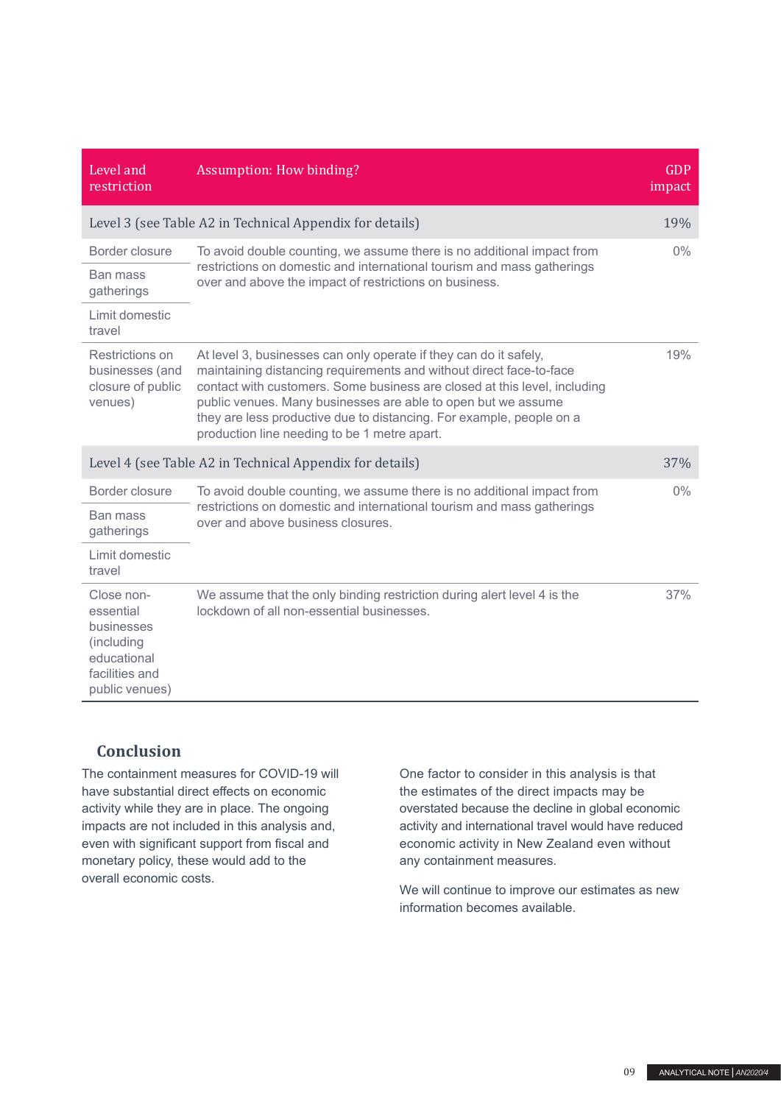| Level and<br>restriction                                                                               | Assumption: How binding?                                                                                                                                                                                                                                                                                                                                                                                       | <b>GDP</b><br>impact |
|--------------------------------------------------------------------------------------------------------|----------------------------------------------------------------------------------------------------------------------------------------------------------------------------------------------------------------------------------------------------------------------------------------------------------------------------------------------------------------------------------------------------------------|----------------------|
|                                                                                                        | Level 3 (see Table A2 in Technical Appendix for details)                                                                                                                                                                                                                                                                                                                                                       | 19%                  |
| Border closure                                                                                         | To avoid double counting, we assume there is no additional impact from                                                                                                                                                                                                                                                                                                                                         | $0\%$                |
| <b>Ban mass</b><br>gatherings                                                                          | restrictions on domestic and international tourism and mass gatherings<br>over and above the impact of restrictions on business.                                                                                                                                                                                                                                                                               |                      |
| Limit domestic<br>travel                                                                               |                                                                                                                                                                                                                                                                                                                                                                                                                |                      |
| Restrictions on<br>businesses (and<br>closure of public<br>venues)                                     | At level 3, businesses can only operate if they can do it safely,<br>maintaining distancing requirements and without direct face-to-face<br>contact with customers. Some business are closed at this level, including<br>public venues. Many businesses are able to open but we assume<br>they are less productive due to distancing. For example, people on a<br>production line needing to be 1 metre apart. | 19%                  |
|                                                                                                        | Level 4 (see Table A2 in Technical Appendix for details)                                                                                                                                                                                                                                                                                                                                                       | 37%                  |
| Border closure                                                                                         | To avoid double counting, we assume there is no additional impact from                                                                                                                                                                                                                                                                                                                                         | $0\%$                |
| <b>Ban mass</b><br>gatherings                                                                          | restrictions on domestic and international tourism and mass gatherings<br>over and above business closures.                                                                                                                                                                                                                                                                                                    |                      |
| Limit domestic<br>travel                                                                               |                                                                                                                                                                                                                                                                                                                                                                                                                |                      |
| Close non-<br>essential<br>businesses<br>(including<br>educational<br>facilities and<br>public venues) | We assume that the only binding restriction during alert level 4 is the<br>lockdown of all non-essential businesses.                                                                                                                                                                                                                                                                                           | 37%                  |

## **Conclusion**

The containment measures for COVID-19 will have substantial direct effects on economic activity while they are in place. The ongoing impacts are not included in this analysis and, even with significant support from fiscal and monetary policy, these would add to the overall economic costs.

One factor to consider in this analysis is that the estimates of the direct impacts may be overstated because the decline in global economic activity and international travel would have reduced economic activity in New Zealand even without any containment measures.

We will continue to improve our estimates as new information becomes available.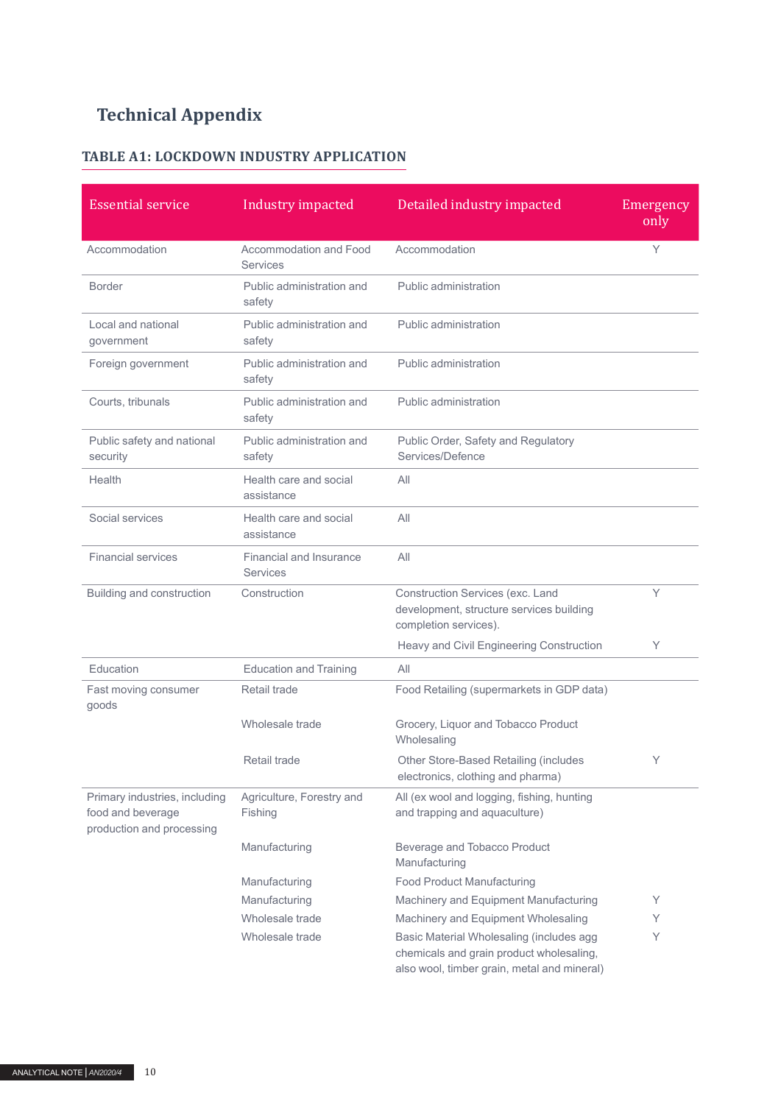## **Technical Appendix**

## **TABLE A1: LOCKDOWN INDUSTRY APPLICATION**

| <b>Essential service</b>                                                        | Industry impacted                                | Detailed industry impacted                                                                                                          | Emergency<br>only |
|---------------------------------------------------------------------------------|--------------------------------------------------|-------------------------------------------------------------------------------------------------------------------------------------|-------------------|
| Accommodation                                                                   | <b>Accommodation and Food</b><br><b>Services</b> | Accommodation                                                                                                                       | Y                 |
| <b>Border</b>                                                                   | Public administration and<br>safety              | Public administration                                                                                                               |                   |
| Local and national<br>government                                                | Public administration and<br>safety              | Public administration                                                                                                               |                   |
| Foreign government                                                              | Public administration and<br>safety              | Public administration                                                                                                               |                   |
| Courts, tribunals                                                               | Public administration and<br>safety              | Public administration                                                                                                               |                   |
| Public safety and national<br>security                                          | Public administration and<br>safety              | Public Order, Safety and Regulatory<br>Services/Defence                                                                             |                   |
| Health                                                                          | Health care and social<br>assistance             | All                                                                                                                                 |                   |
| Social services                                                                 | Health care and social<br>assistance             | All                                                                                                                                 |                   |
| <b>Financial services</b>                                                       | Financial and Insurance<br><b>Services</b>       | All                                                                                                                                 |                   |
| Building and construction                                                       | Construction                                     | Construction Services (exc. Land<br>development, structure services building<br>completion services).                               | Υ                 |
|                                                                                 |                                                  | Heavy and Civil Engineering Construction                                                                                            | Υ                 |
| Education                                                                       | <b>Education and Training</b>                    | All                                                                                                                                 |                   |
| Fast moving consumer<br>goods                                                   | Retail trade                                     | Food Retailing (supermarkets in GDP data)                                                                                           |                   |
|                                                                                 | Wholesale trade                                  | Grocery, Liquor and Tobacco Product<br>Wholesaling                                                                                  |                   |
|                                                                                 | Retail trade                                     | Other Store-Based Retailing (includes<br>electronics, clothing and pharma)                                                          | Υ                 |
| Primary industries, including<br>food and beverage<br>production and processing | Agriculture, Forestry and<br>Fishing             | All (ex wool and logging, fishing, hunting<br>and trapping and aquaculture)                                                         |                   |
|                                                                                 | Manufacturing                                    | Beverage and Tobacco Product<br>Manufacturing                                                                                       |                   |
|                                                                                 | Manufacturing                                    | <b>Food Product Manufacturing</b>                                                                                                   |                   |
|                                                                                 | Manufacturing                                    | Machinery and Equipment Manufacturing                                                                                               | Υ                 |
|                                                                                 | Wholesale trade                                  | Machinery and Equipment Wholesaling                                                                                                 | Y                 |
|                                                                                 | Wholesale trade                                  | Basic Material Wholesaling (includes agg<br>chemicals and grain product wholesaling,<br>also wool, timber grain, metal and mineral) | Υ                 |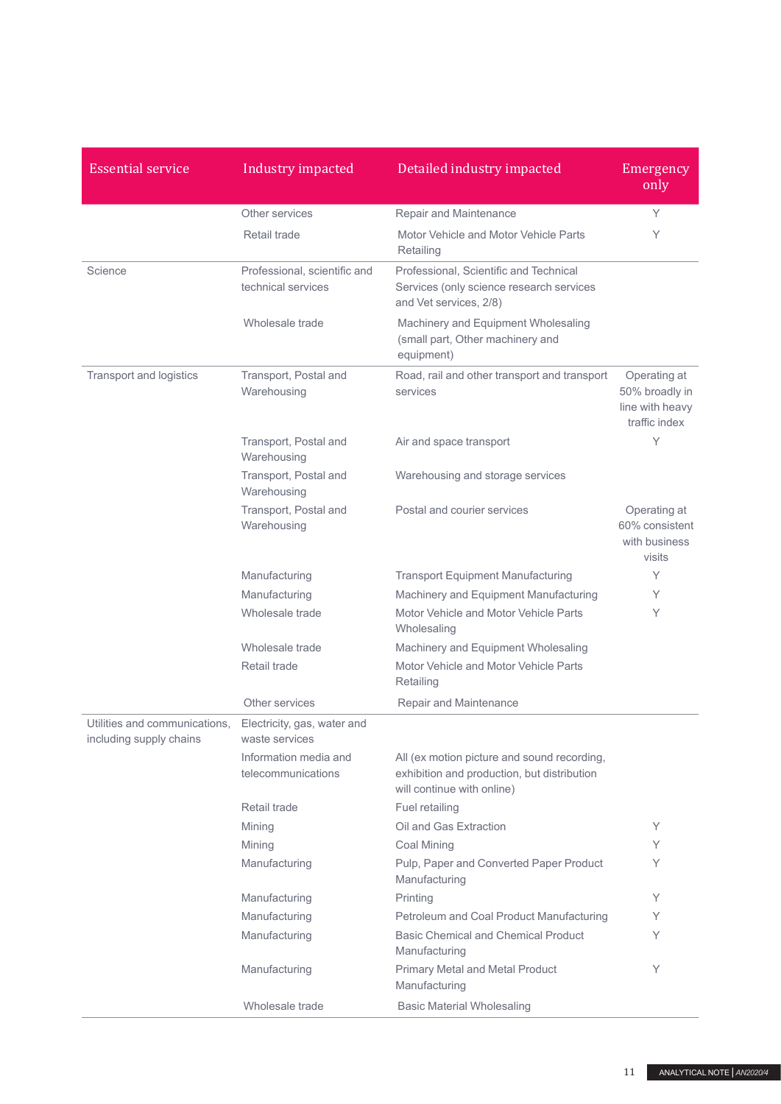| <b>Essential service</b>                                 | Industry impacted                                  | Detailed industry impacted                                                                                               | Emergency<br>only                                                  |
|----------------------------------------------------------|----------------------------------------------------|--------------------------------------------------------------------------------------------------------------------------|--------------------------------------------------------------------|
|                                                          | Other services                                     | Repair and Maintenance                                                                                                   | Y                                                                  |
|                                                          | Retail trade                                       | Motor Vehicle and Motor Vehicle Parts<br>Retailing                                                                       | Υ                                                                  |
| Science                                                  | Professional, scientific and<br>technical services | Professional, Scientific and Technical<br>Services (only science research services<br>and Vet services, 2/8)             |                                                                    |
|                                                          | Wholesale trade                                    | Machinery and Equipment Wholesaling<br>(small part, Other machinery and<br>equipment)                                    |                                                                    |
| Transport and logistics                                  | Transport, Postal and<br>Warehousing               | Road, rail and other transport and transport<br>services                                                                 | Operating at<br>50% broadly in<br>line with heavy<br>traffic index |
|                                                          | Transport, Postal and<br>Warehousing               | Air and space transport                                                                                                  | Υ                                                                  |
|                                                          | Transport, Postal and<br>Warehousing               | Warehousing and storage services                                                                                         |                                                                    |
|                                                          | Transport, Postal and<br>Warehousing               | Postal and courier services                                                                                              | Operating at<br>60% consistent<br>with business<br>visits          |
|                                                          | Manufacturing                                      | <b>Transport Equipment Manufacturing</b>                                                                                 | Υ                                                                  |
|                                                          | Manufacturing                                      | Machinery and Equipment Manufacturing                                                                                    | Υ                                                                  |
|                                                          | Wholesale trade                                    | Motor Vehicle and Motor Vehicle Parts<br>Wholesaling                                                                     | Y                                                                  |
|                                                          | Wholesale trade                                    | Machinery and Equipment Wholesaling                                                                                      |                                                                    |
|                                                          | Retail trade                                       | Motor Vehicle and Motor Vehicle Parts<br>Retailing                                                                       |                                                                    |
|                                                          | Other services                                     | <b>Repair and Maintenance</b>                                                                                            |                                                                    |
| Utilities and communications,<br>including supply chains | Electricity, gas, water and<br>waste services      |                                                                                                                          |                                                                    |
|                                                          | Information media and<br>telecommunications        | All (ex motion picture and sound recording,<br>exhibition and production, but distribution<br>will continue with online) |                                                                    |
|                                                          | Retail trade                                       | Fuel retailing                                                                                                           |                                                                    |
|                                                          | Mining                                             | Oil and Gas Extraction                                                                                                   | Υ                                                                  |
|                                                          | Mining                                             | Coal Mining                                                                                                              | Y                                                                  |
|                                                          | Manufacturing                                      | Pulp, Paper and Converted Paper Product<br>Manufacturing                                                                 | Υ                                                                  |
|                                                          | Manufacturing                                      | Printing                                                                                                                 | Υ                                                                  |
|                                                          | Manufacturing                                      | Petroleum and Coal Product Manufacturing                                                                                 | Y                                                                  |
|                                                          | Manufacturing                                      | <b>Basic Chemical and Chemical Product</b><br>Manufacturing                                                              | Υ                                                                  |
|                                                          | Manufacturing                                      | <b>Primary Metal and Metal Product</b><br>Manufacturing                                                                  | Υ                                                                  |
|                                                          | Wholesale trade                                    | <b>Basic Material Wholesaling</b>                                                                                        |                                                                    |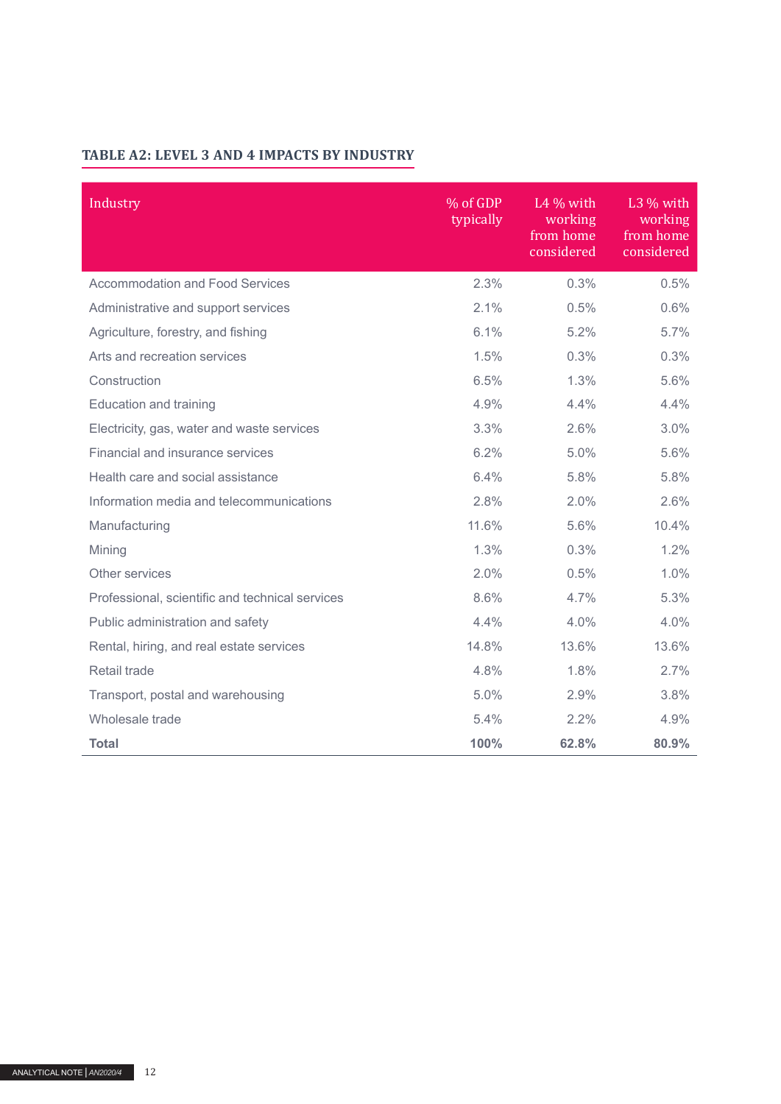## **TABLE A2: LEVEL 3 AND 4 IMPACTS BY INDUSTRY**

| Industry                                        | % of GDP<br>typically | L4 $%$ with<br>working<br>from home<br>considered | $L3\%$ with<br>working<br>from home<br>considered |
|-------------------------------------------------|-----------------------|---------------------------------------------------|---------------------------------------------------|
| <b>Accommodation and Food Services</b>          | 2.3%                  | 0.3%                                              | 0.5%                                              |
| Administrative and support services             | 2.1%                  | 0.5%                                              | 0.6%                                              |
| Agriculture, forestry, and fishing              | 6.1%                  | 5.2%                                              | 5.7%                                              |
| Arts and recreation services                    | 1.5%                  | 0.3%                                              | 0.3%                                              |
| Construction                                    | 6.5%                  | 1.3%                                              | 5.6%                                              |
| <b>Education and training</b>                   | 4.9%                  | 4.4%                                              | 4.4%                                              |
| Electricity, gas, water and waste services      | 3.3%                  | 2.6%                                              | 3.0%                                              |
| Financial and insurance services                | 6.2%                  | 5.0%                                              | 5.6%                                              |
| Health care and social assistance               | 6.4%                  | 5.8%                                              | 5.8%                                              |
| Information media and telecommunications        | 2.8%                  | 2.0%                                              | 2.6%                                              |
| Manufacturing                                   | 11.6%                 | 5.6%                                              | 10.4%                                             |
| Mining                                          | 1.3%                  | 0.3%                                              | 1.2%                                              |
| Other services                                  | 2.0%                  | 0.5%                                              | 1.0%                                              |
| Professional, scientific and technical services | 8.6%                  | 4.7%                                              | 5.3%                                              |
| Public administration and safety                | 4.4%                  | 4.0%                                              | 4.0%                                              |
| Rental, hiring, and real estate services        | 14.8%                 | 13.6%                                             | 13.6%                                             |
| Retail trade                                    | 4.8%                  | 1.8%                                              | 2.7%                                              |
| Transport, postal and warehousing               | 5.0%                  | 2.9%                                              | 3.8%                                              |
| Wholesale trade                                 | 5.4%                  | 2.2%                                              | 4.9%                                              |
| <b>Total</b>                                    | 100%                  | 62.8%                                             | 80.9%                                             |